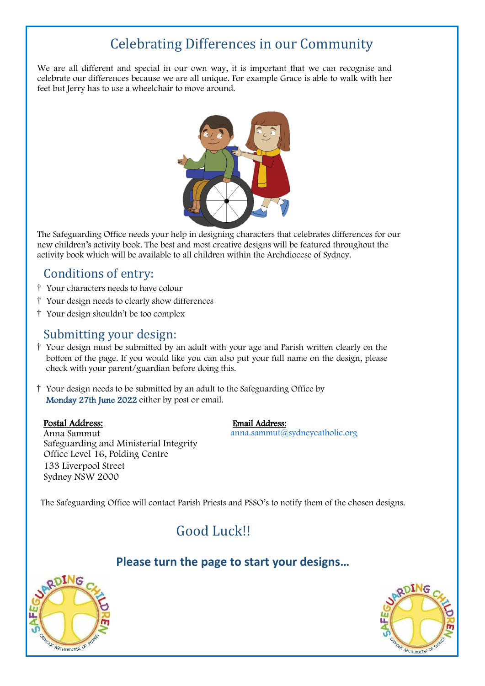# Celebrating Differences in our Community

We are all different and special in our own way, it is important that we can recognise and celebrate our differences because we are all unique. For example Grace is able to walk with her feet but Jerry has to use a wheelchair to move around.



The Safeguarding Office needs your help in designing characters that celebrates differences for our new children's activity book. The best and most creative designs will be featured throughout the activity book which will be available to all children within the Archdiocese of Sydney.

## Conditions of entry:

- † Your characters needs to have colour
- † Your design needs to clearly show differences
- † Your design shouldn't be too complex

## Submitting your design:

- † Your design must be submitted by an adult with your age and Parish written clearly on the bottom of the page. If you would like you can also put your full name on the design, please check with your parent/guardian before doing this.
- † Your design needs to be submitted by an adult to the Safeguarding Office by Monday 27th June 2022 either by post or email.

### Postal Address:

#### Email Address:

[anna.sammut@sydneycatholic.org](mailto:anna.sammut@sydneycatholic.org)

Anna Sammut Safeguarding and Ministerial Integrity Office Level 16, Polding Centre 133 Liverpool Street Sydney NSW 2000

The Safeguarding Office will contact Parish Priests and PSSO's to notify them of the chosen designs.

## Good Luck!!

## **Please turn the page to start your designs…**



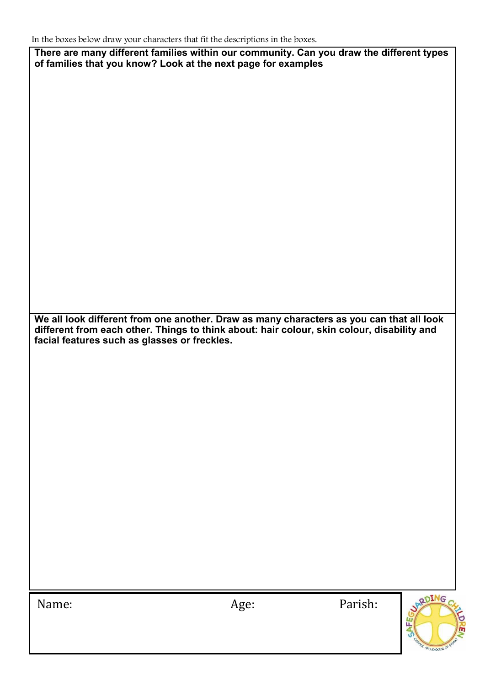**There are many different families within our community. Can you draw the different types of families that you know? Look at the next page for examples**

**We all look different from one another. Draw as many characters as you can that all look different from each other. Things to think about: hair colour, skin colour, disability and facial features such as glasses or freckles.**

Name: Age: Parish:

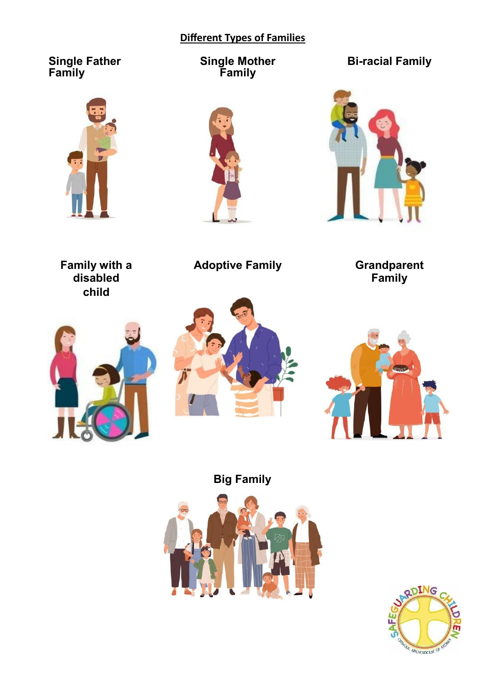## **Different Types of Families**

## **Single Father Family**



**Single Mother Family**



**Bi-racial Family**



**Family with a disabled child**

**Adoptive Family** 

**Family**







**Big Family**